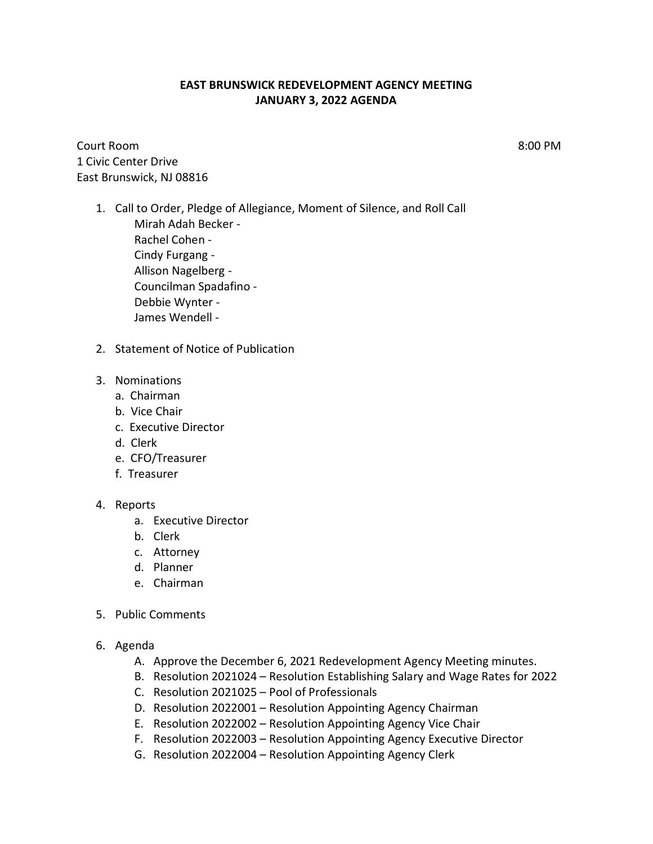## **EAST BRUNSWICK REDEVELOPMENT AGENCY MEETING JANUARY 3, 2022 AGENDA**

Court Room 8:00 PM 1 Civic Center Drive East Brunswick, NJ 08816

- 1. Call to Order, Pledge of Allegiance, Moment of Silence, and Roll Call Mirah Adah Becker - Rachel Cohen - Cindy Furgang - Allison Nagelberg - Councilman Spadafino - Debbie Wynter - James Wendell -
- 2. Statement of Notice of Publication
- 3. Nominations
	- a. Chairman
	- b. Vice Chair
	- c. Executive Director
	- d. Clerk
	- e. CFO/Treasurer
	- f. Treasurer

## 4. Reports

- a. Executive Director
- b. Clerk
- c. Attorney
- d. Planner
- e. Chairman
- 5. Public Comments
- 6. Agenda
	- A. Approve the December 6, 2021 Redevelopment Agency Meeting minutes.
	- B. Resolution 2021024 Resolution Establishing Salary and Wage Rates for 2022
	- C. Resolution 2021025 Pool of Professionals
	- D. Resolution 2022001 Resolution Appointing Agency Chairman
	- E. Resolution 2022002 Resolution Appointing Agency Vice Chair
	- F. Resolution 2022003 Resolution Appointing Agency Executive Director
	- G. Resolution 2022004 Resolution Appointing Agency Clerk